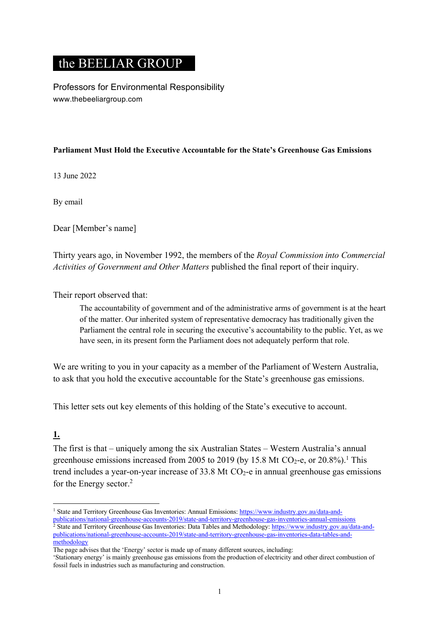# the BEELIAR GROUP

Professors for Environmental Responsibility www.thebeeliargroup.com

### **Parliament Must Hold the Executive Accountable for the State's Greenhouse Gas Emissions**

13 June 2022

By email

Dear [Member's name]

Thirty years ago, in November 1992, the members of the *Royal Commission into Commercial Activities of Government and Other Matters* published the final report of their inquiry.

### Their report observed that:

The accountability of government and of the administrative arms of government is at the heart of the matter. Our inherited system of representative democracy has traditionally given the Parliament the central role in securing the executive's accountability to the public. Yet, as we have seen, in its present form the Parliament does not adequately perform that role.

We are writing to you in your capacity as a member of the Parliament of Western Australia, to ask that you hold the executive accountable for the State's greenhouse gas emissions.

This letter sets out key elements of this holding of the State's executive to account.

### **1.**

The first is that – uniquely among the six Australian States – Western Australia's annual greenhouse emissions increased from 2005 to 2019 (by 15.8 Mt CO<sub>2</sub>-e, or 20.8%).<sup>1</sup> This trend includes a year-on-year increase of  $33.8$  Mt CO<sub>2</sub>-e in annual greenhouse gas emissions for the Energy sector. 2

<sup>&</sup>lt;sup>1</sup> State and Territory Greenhouse Gas Inventories: Annual Emissions: https://www.industry.gov.au/data-and-

publications/national-greenhouse-accounts-2019/state-and-territory-greenhouse-gas-inventories-annual-emissions <sup>2</sup> State and Territory Greenhouse Gas Inventories: Data Tables and Methodology: https://www.industry.gov.au/data-andpublications/national-greenhouse-accounts-2019/state-and-territory-greenhouse-gas-inventories-data-tables-andmethodology

The page advises that the 'Energy' sector is made up of many different sources, including:

<sup>&#</sup>x27;Stationary energy' is mainly greenhouse gas emissions from the production of electricity and other direct combustion of fossil fuels in industries such as manufacturing and construction.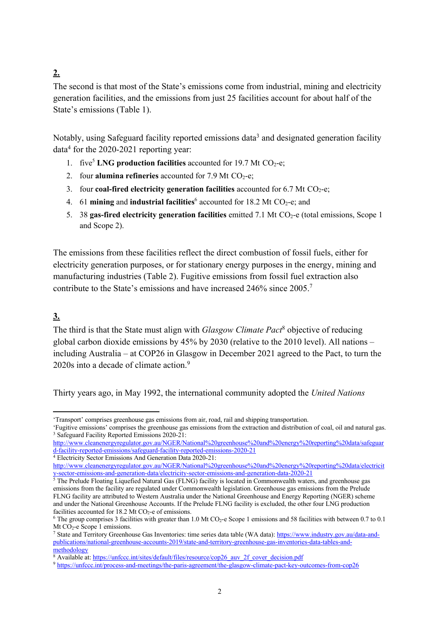# **2.**

The second is that most of the State's emissions come from industrial, mining and electricity generation facilities, and the emissions from just 25 facilities account for about half of the State's emissions (Table 1).

Notably, using Safeguard facility reported emissions data<sup>3</sup> and designated generation facility  $data<sup>4</sup>$  for the 2020-2021 reporting year:

- 1. five<sup>5</sup> LNG production facilities accounted for 19.7 Mt CO<sub>2</sub>-e;
- 2. four **alumina refineries** accounted for  $7.9$  Mt  $CO<sub>2</sub>$ -e;
- 3. four **coal-fired electricity generation facilities** accounted for 6.7 Mt CO<sub>2</sub>-e;
- 4. 61 **mining** and **industrial facilities**<sup>6</sup> accounted for 18.2 Mt CO<sub>2</sub>-e; and
- 5. 38 gas-fired electricity generation facilities emitted 7.1 Mt CO<sub>2</sub>-e (total emissions, Scope 1 and Scope 2).

The emissions from these facilities reflect the direct combustion of fossil fuels, either for electricity generation purposes, or for stationary energy purposes in the energy, mining and manufacturing industries (Table 2). Fugitive emissions from fossil fuel extraction also contribute to the State's emissions and have increased 246% since 2005. 7

### **3.**

The third is that the State must align with *Glasgow Climate Pact*<sup>8</sup> objective of reducing global carbon dioxide emissions by 45% by 2030 (relative to the 2010 level). All nations – including Australia – at COP26 in Glasgow in December 2021 agreed to the Pact, to turn the 2020s into a decade of climate action.<sup>9</sup>

Thirty years ago, in May 1992, the international community adopted the *United Nations* 

<sup>&#</sup>x27;Transport' comprises greenhouse gas emissions from air, road, rail and shipping transportation.

<sup>&#</sup>x27;Fugitive emissions' comprises the greenhouse gas emissions from the extraction and distribution of coal, oil and natural gas. <sup>3</sup> Safeguard Facility Reported Emissions 2020-21:

http://www.cleanenergyregulator.gov.au/NGER/National%20greenhouse%20and%20energy%20reporting%20data/safeguar d-facility-reported-emissions/safeguard-facility-reported-emissions-2020-21

<sup>4</sup> Electricity Sector Emissions And Generation Data 2020-21:

http://www.cleanenergyregulator.gov.au/NGER/National%20greenhouse%20and%20energy%20reporting%20data/electricit y-sector-emissions-and-generation-data/electricity-sector-emissions-and-generation-data-2020-21

 $5$  The Prelude Floating Liquefied Natural Gas (FLNG) facility is located in Commonwealth waters, and greenhouse gas emissions from the facility are regulated under Commonwealth legislation. Greenhouse gas emissions from the Prelude FLNG facility are attributed to Western Australia under the National Greenhouse and Energy Reporting (NGER) scheme and under the National Greenhouse Accounts. If the Prelude FLNG facility is excluded, the other four LNG production facilities accounted for  $18.2$  Mt CO<sub>2</sub>-e of emissions.

<sup>&</sup>lt;sup>6</sup> The group comprises 3 facilities with greater than 1.0 Mt CO<sub>2</sub>-e Scope 1 emissions and 58 facilities with between 0.7 to 0.1 Mt  $CO<sub>2</sub>$ -e Scope 1 emissions.

<sup>&</sup>lt;sup>7</sup> State and Territory Greenhouse Gas Inventories: time series data table (WA data): https://www.industry.gov.au/data-andpublications/national-greenhouse-accounts-2019/state-and-territory-greenhouse-gas-inventories-data-tables-andmethodology

<sup>&</sup>lt;sup>8</sup> Available at: https://unfccc.int/sites/default/files/resource/cop26\_auv\_2f\_cover\_decision.pdf

<sup>9</sup> https://unfccc.int/process-and-meetings/the-paris-agreement/the-glasgow-climate-pact-key-outcomes-from-cop26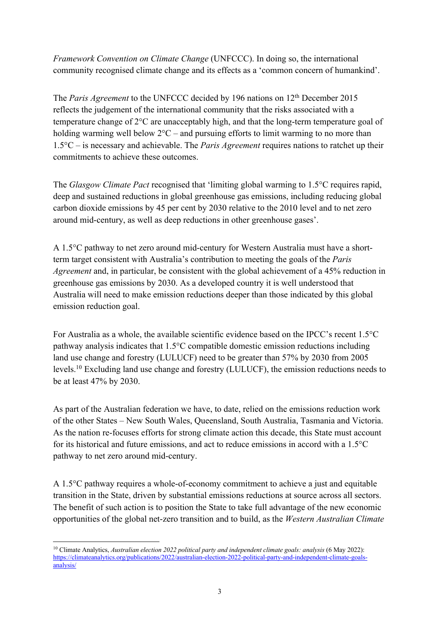*Framework Convention on Climate Change* (UNFCCC). In doing so, the international community recognised climate change and its effects as a 'common concern of humankind'.

The *Paris Agreement* to the UNFCCC decided by 196 nations on 12<sup>th</sup> December 2015 reflects the judgement of the international community that the risks associated with a temperature change of 2°C are unacceptably high, and that the long-term temperature goal of holding warming well below  $2^{\circ}C$  – and pursuing efforts to limit warming to no more than 1.5°C – is necessary and achievable. The *Paris Agreement* requires nations to ratchet up their commitments to achieve these outcomes.

The *Glasgow Climate Pact* recognised that 'limiting global warming to 1.5°C requires rapid, deep and sustained reductions in global greenhouse gas emissions, including reducing global carbon dioxide emissions by 45 per cent by 2030 relative to the 2010 level and to net zero around mid-century, as well as deep reductions in other greenhouse gases'.

A 1.5°C pathway to net zero around mid-century for Western Australia must have a shortterm target consistent with Australia's contribution to meeting the goals of the *Paris Agreement* and, in particular, be consistent with the global achievement of a 45% reduction in greenhouse gas emissions by 2030. As a developed country it is well understood that Australia will need to make emission reductions deeper than those indicated by this global emission reduction goal.

For Australia as a whole, the available scientific evidence based on the IPCC's recent 1.5°C pathway analysis indicates that 1.5°C compatible domestic emission reductions including land use change and forestry (LULUCF) need to be greater than 57% by 2030 from 2005 levels.10 Excluding land use change and forestry (LULUCF), the emission reductions needs to be at least 47% by 2030.

As part of the Australian federation we have, to date, relied on the emissions reduction work of the other States – New South Wales, Queensland, South Australia, Tasmania and Victoria. As the nation re-focuses efforts for strong climate action this decade, this State must account for its historical and future emissions, and act to reduce emissions in accord with a 1.5°C pathway to net zero around mid-century.

A 1.5°C pathway requires a whole-of-economy commitment to achieve a just and equitable transition in the State, driven by substantial emissions reductions at source across all sectors. The benefit of such action is to position the State to take full advantage of the new economic opportunities of the global net-zero transition and to build, as the *Western Australian Climate* 

<sup>10</sup> Climate Analytics, *Australian election 2022 political party and independent climate goals: analysis* (6 May 2022): https://climateanalytics.org/publications/2022/australian-election-2022-political-party-and-independent-climate-goalsanalysis/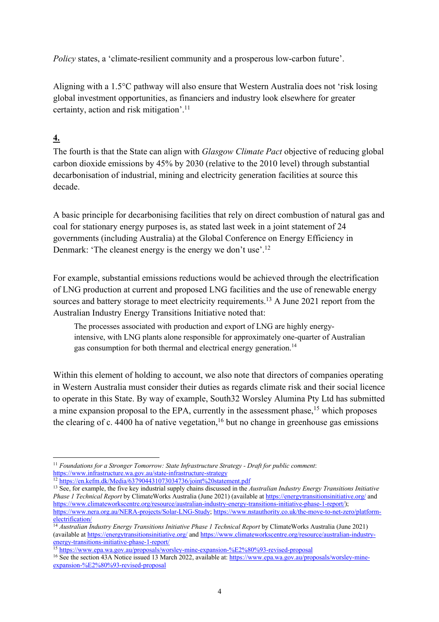*Policy* states, a 'climate-resilient community and a prosperous low-carbon future'.

Aligning with a 1.5°C pathway will also ensure that Western Australia does not 'risk losing global investment opportunities, as financiers and industry look elsewhere for greater certainty, action and risk mitigation'.11

# **4.**

The fourth is that the State can align with *Glasgow Climate Pact* objective of reducing global carbon dioxide emissions by 45% by 2030 (relative to the 2010 level) through substantial decarbonisation of industrial, mining and electricity generation facilities at source this decade.

A basic principle for decarbonising facilities that rely on direct combustion of natural gas and coal for stationary energy purposes is, as stated last week in a joint statement of 24 governments (including Australia) at the Global Conference on Energy Efficiency in Denmark: 'The cleanest energy is the energy we don't use'.<sup>12</sup>

For example, substantial emissions reductions would be achieved through the electrification of LNG production at current and proposed LNG facilities and the use of renewable energy sources and battery storage to meet electricity requirements.<sup>13</sup> A June 2021 report from the Australian Industry Energy Transitions Initiative noted that:

The processes associated with production and export of LNG are highly energyintensive, with LNG plants alone responsible for approximately one-quarter of Australian gas consumption for both thermal and electrical energy generation.<sup>14</sup>

Within this element of holding to account, we also note that directors of companies operating in Western Australia must consider their duties as regards climate risk and their social licence to operate in this State. By way of example, South32 Worsley Alumina Pty Ltd has submitted a mine expansion proposal to the EPA, currently in the assessment phase,<sup>15</sup> which proposes the clearing of c. 4400 ha of native vegetation,<sup>16</sup> but no change in greenhouse gas emissions

<sup>15</sup> https://www.epa.wa.gov.au/proposals/worsley-mine-expansion-%E2%80%93-revised-proposal

<sup>11</sup> *Foundations for a Stronger Tomorrow: State Infrastructure Strategy - Draft for public comment*: https://www.infrastructure.wa.gov.au/state-infrastructure-strategy

 $\frac{12}{12}$  https://en.kefm.dk/Media/637904431073034736/joint%20statement.pdf

<sup>13</sup> See, for example, the five key industrial supply chains discussed in the *Australian Industry Energy Transitions Initiative Phase 1 Technical Report* by ClimateWorks Australia (June 2021) (available at https://energytransitionsinitiative.org/ and https://www.climateworkscentre.org/resource/australian-industry-energy-transitions-initiative-phase-1-report/); https://www.nera.org.au/NERA-projects/Solar-LNG-Study; https://www.nstauthority.co.uk/the-move-to-net-zero/platformelectrification/

<sup>14</sup> *Australian Industry Energy Transitions Initiative Phase 1 Technical Report* by ClimateWorks Australia (June 2021) (available at https://energytransitionsinitiative.org/ and https://www.climateworkscentre.org/resource/australian-industryenergy-transitions-initiative-phase-1-report/

<sup>&</sup>lt;sup>16</sup> See the section 43A Notice issued 13 March 2022, available at: https://www.epa.wa.gov.au/proposals/worsley-mineexpansion-%E2%80%93-revised-proposal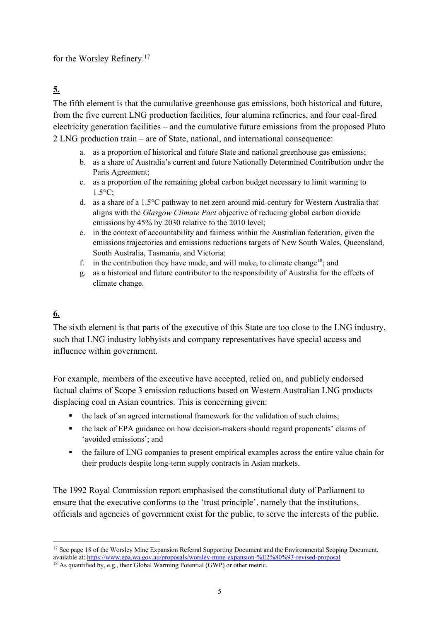for the Worsley Refinery. 17

# **5.**

The fifth element is that the cumulative greenhouse gas emissions, both historical and future, from the five current LNG production facilities, four alumina refineries, and four coal-fired electricity generation facilities – and the cumulative future emissions from the proposed Pluto 2 LNG production train – are of State, national, and international consequence:

- a. as a proportion of historical and future State and national greenhouse gas emissions;
- b. as a share of Australia's current and future Nationally Determined Contribution under the Paris Agreement;
- c. as a proportion of the remaining global carbon budget necessary to limit warming to 1.5°C;
- d. as a share of a 1.5°C pathway to net zero around mid-century for Western Australia that aligns with the *Glasgow Climate Pact* objective of reducing global carbon dioxide emissions by 45% by 2030 relative to the 2010 level;
- e. in the context of accountability and fairness within the Australian federation, given the emissions trajectories and emissions reductions targets of New South Wales, Queensland, South Australia, Tasmania, and Victoria;
- f. in the contribution they have made, and will make, to climate change<sup>18</sup>; and
- g. as a historical and future contributor to the responsibility of Australia for the effects of climate change.

# **6.**

The sixth element is that parts of the executive of this State are too close to the LNG industry, such that LNG industry lobbyists and company representatives have special access and influence within government.

For example, members of the executive have accepted, relied on, and publicly endorsed factual claims of Scope 3 emission reductions based on Western Australian LNG products displacing coal in Asian countries. This is concerning given:

- the lack of an agreed international framework for the validation of such claims;
- the lack of EPA guidance on how decision-makers should regard proponents' claims of 'avoided emissions'; and
- the failure of LNG companies to present empirical examples across the entire value chain for their products despite long-term supply contracts in Asian markets.

The 1992 Royal Commission report emphasised the constitutional duty of Parliament to ensure that the executive conforms to the 'trust principle', namely that the institutions, officials and agencies of government exist for the public, to serve the interests of the public.

<sup>&</sup>lt;sup>17</sup> See page 18 of the Worsley Mine Expansion Referral Supporting Document and the Environmental Scoping Document, available at: https://www.epa.wa.gov.au/proposals/worsley-mine-expansion-%E2%80%93-revised-proposal

<sup>&</sup>lt;sup>18</sup> As quantified by, e.g., their Global Warming Potential (GWP) or other metric.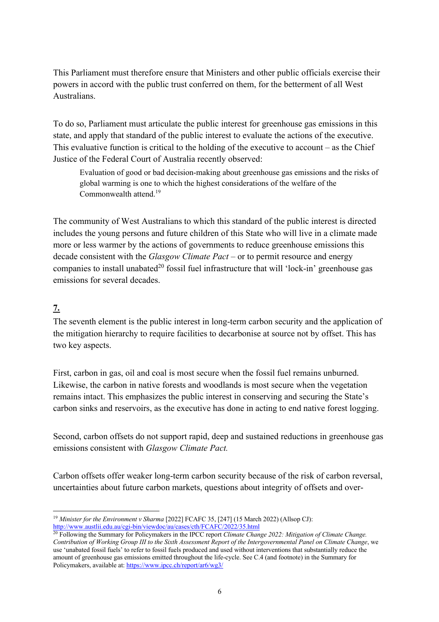This Parliament must therefore ensure that Ministers and other public officials exercise their powers in accord with the public trust conferred on them, for the betterment of all West Australians.

To do so, Parliament must articulate the public interest for greenhouse gas emissions in this state, and apply that standard of the public interest to evaluate the actions of the executive. This evaluative function is critical to the holding of the executive to account – as the Chief Justice of the Federal Court of Australia recently observed:

Evaluation of good or bad decision-making about greenhouse gas emissions and the risks of global warming is one to which the highest considerations of the welfare of the Commonwealth attend.<sup>19</sup>

The community of West Australians to which this standard of the public interest is directed includes the young persons and future children of this State who will live in a climate made more or less warmer by the actions of governments to reduce greenhouse emissions this decade consistent with the *Glasgow Climate Pact* – or to permit resource and energy companies to install unabated<sup>20</sup> fossil fuel infrastructure that will 'lock-in' greenhouse gas emissions for several decades.

### **7.**

The seventh element is the public interest in long-term carbon security and the application of the mitigation hierarchy to require facilities to decarbonise at source not by offset. This has two key aspects.

First, carbon in gas, oil and coal is most secure when the fossil fuel remains unburned. Likewise, the carbon in native forests and woodlands is most secure when the vegetation remains intact. This emphasizes the public interest in conserving and securing the State's carbon sinks and reservoirs, as the executive has done in acting to end native forest logging.

Second, carbon offsets do not support rapid, deep and sustained reductions in greenhouse gas emissions consistent with *Glasgow Climate Pact.*

Carbon offsets offer weaker long-term carbon security because of the risk of carbon reversal, uncertainties about future carbon markets, questions about integrity of offsets and over-

<sup>&</sup>lt;sup>19</sup> *Minister for the Environment v Sharma* [2022] FCAFC 35, [247] (15 March 2022) (Allsop CJ): http://www.austlii.edu.au/cgi-bin/viewdoc/au/cases/cth/FCAFC/2022/35.html

<sup>20</sup> Following the Summary for Policymakers in the IPCC report *Climate Change 2022: Mitigation of Climate Change. Contribution of Working Group III to the Sixth Assessment Report of the Intergovernmental Panel on Climate Change*, we use 'unabated fossil fuels' to refer to fossil fuels produced and used without interventions that substantially reduce the amount of greenhouse gas emissions emitted throughout the life-cycle. See C.4 (and footnote) in the Summary for Policymakers, available at: https://www.ipcc.ch/report/ar6/wg3/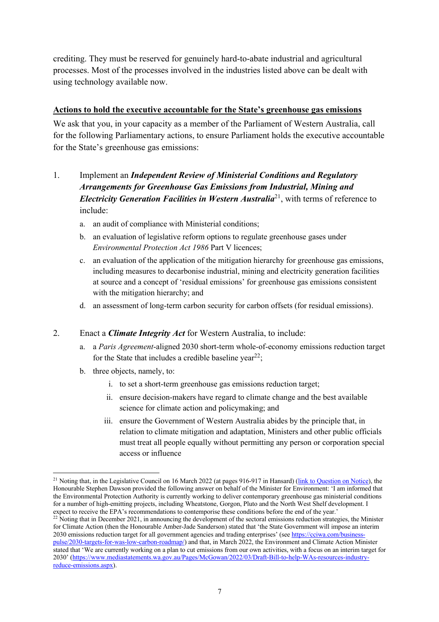crediting. They must be reserved for genuinely hard-to-abate industrial and agricultural processes. Most of the processes involved in the industries listed above can be dealt with using technology available now.

### **Actions to hold the executive accountable for the State's greenhouse gas emissions**

We ask that you, in your capacity as a member of the Parliament of Western Australia, call for the following Parliamentary actions, to ensure Parliament holds the executive accountable for the State's greenhouse gas emissions:

- 1. Implement an *Independent Review of Ministerial Conditions and Regulatory Arrangements for Greenhouse Gas Emissions from Industrial, Mining and Electricity Generation Facilities in Western Australia*<sup>21</sup>, with terms of reference to include:
	- a. an audit of compliance with Ministerial conditions;
	- b. an evaluation of legislative reform options to regulate greenhouse gases under *Environmental Protection Act 1986* Part V licences;
	- c. an evaluation of the application of the mitigation hierarchy for greenhouse gas emissions, including measures to decarbonise industrial, mining and electricity generation facilities at source and a concept of 'residual emissions' for greenhouse gas emissions consistent with the mitigation hierarchy; and
	- d. an assessment of long-term carbon security for carbon offsets (for residual emissions).

### 2. Enact a *Climate Integrity Act* for Western Australia, to include:

- a. a *Paris Agreement*-aligned 2030 short-term whole-of-economy emissions reduction target for the State that includes a credible baseline year<sup>22</sup>;
- b. three objects, namely, to:
	- i. to set a short-term greenhouse gas emissions reduction target;
	- ii. ensure decision-makers have regard to climate change and the best available science for climate action and policymaking; and
	- iii. ensure the Government of Western Australia abides by the principle that, in relation to climate mitigation and adaptation, Ministers and other public officials must treat all people equally without permitting any person or corporation special access or influence

<sup>&</sup>lt;sup>21</sup> Noting that, in the Legislative Council on 16 March 2022 (at pages 916-917 in Hansard) (link to Question on Notice), the Honourable Stephen Dawson provided the following answer on behalf of the Minister for Environment: 'I am informed that the Environmental Protection Authority is currently working to deliver contemporary greenhouse gas ministerial conditions for a number of high-emitting projects, including Wheatstone, Gorgon, Pluto and the North West Shelf development. I expect to receive the EPA's recommendations to contemporise these conditions before the end of the year.'

 $22$  Noting that in December 2021, in announcing the development of the sectoral emissions reduction strategies, the Minister for Climate Action (then the Honourable Amber-Jade Sanderson) stated that 'the State Government will impose an interim 2030 emissions reduction target for all government agencies and trading enterprises' (see https://cciwa.com/businesspulse/2030-targets-for-was-low-carbon-roadmap/) and that, in March 2022, the Environment and Climate Action Minister stated that 'We are currently working on a plan to cut emissions from our own activities, with a focus on an interim target for 2030' (https://www.mediastatements.wa.gov.au/Pages/McGowan/2022/03/Draft-Bill-to-help-WAs-resources-industryreduce-emissions.aspx).

<sup>7</sup>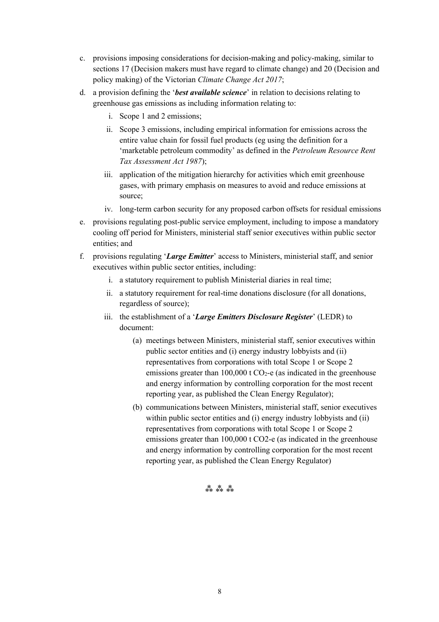- c. provisions imposing considerations for decision-making and policy-making, similar to sections 17 (Decision makers must have regard to climate change) and 20 (Decision and policy making) of the Victorian *Climate Change Act 2017*;
- d. a provision defining the '*best available science*' in relation to decisions relating to greenhouse gas emissions as including information relating to:
	- i. Scope 1 and 2 emissions;
	- ii. Scope 3 emissions, including empirical information for emissions across the entire value chain for fossil fuel products (eg using the definition for a 'marketable petroleum commodity' as defined in the *Petroleum Resource Rent Tax Assessment Act 1987*);
	- iii. application of the mitigation hierarchy for activities which emit greenhouse gases, with primary emphasis on measures to avoid and reduce emissions at source;
	- iv. long-term carbon security for any proposed carbon offsets for residual emissions
- e. provisions regulating post-public service employment, including to impose a mandatory cooling off period for Ministers, ministerial staff senior executives within public sector entities; and
- f. provisions regulating '*Large Emitter*' access to Ministers, ministerial staff, and senior executives within public sector entities, including:
	- i. a statutory requirement to publish Ministerial diaries in real time;
	- ii. a statutory requirement for real-time donations disclosure (for all donations, regardless of source);
	- iii. the establishment of a '*Large Emitters Disclosure Register*' (LEDR) to document:
		- (a) meetings between Ministers, ministerial staff, senior executives within public sector entities and (i) energy industry lobbyists and (ii) representatives from corporations with total Scope 1 or Scope 2 emissions greater than 100,000 t  $CO<sub>2</sub>$ -e (as indicated in the greenhouse and energy information by controlling corporation for the most recent reporting year, as published the Clean Energy Regulator);
		- (b) communications between Ministers, ministerial staff, senior executives within public sector entities and (i) energy industry lobbyists and (ii) representatives from corporations with total Scope 1 or Scope 2 emissions greater than 100,000 t CO2-e (as indicated in the greenhouse and energy information by controlling corporation for the most recent reporting year, as published the Clean Energy Regulator)

#### ⁂ ⁂ ⁂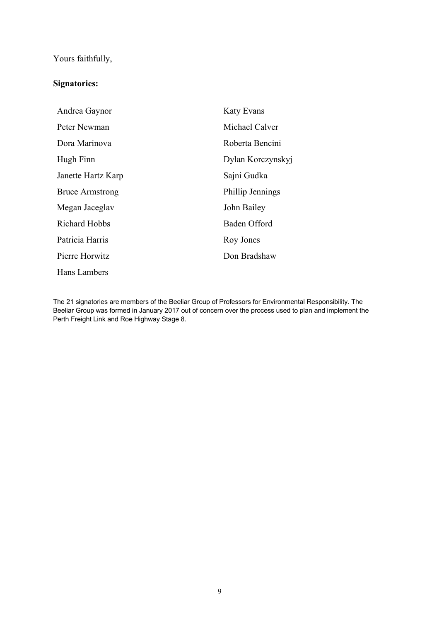# Yours faithfully,

### **Signatories:**

| Andrea Gaynor          | <b>Katy Evans</b> |
|------------------------|-------------------|
| Peter Newman           | Michael Calver    |
| Dora Marinova          | Roberta Bencini   |
| Hugh Finn              | Dylan Korczynskyj |
| Janette Hartz Karp     | Sajni Gudka       |
| <b>Bruce Armstrong</b> | Phillip Jennings  |
| Megan Jaceglav         | John Bailey       |
| <b>Richard Hobbs</b>   | Baden Offord      |
| Patricia Harris        | Roy Jones         |
| Pierre Horwitz         | Don Bradshaw      |
| Hans Lambers           |                   |

The 21 signatories are members of the Beeliar Group of Professors for Environmental Responsibility. The Beeliar Group was formed in January 2017 out of concern over the process used to plan and implement the Perth Freight Link and Roe Highway Stage 8.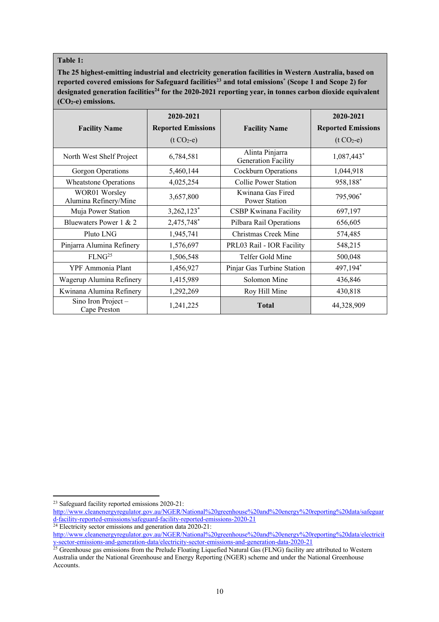#### **Table 1:**

**The 25 highest-emitting industrial and electricity generation facilities in Western Australia, based on**  reported covered emissions for Safeguard facilities<sup>23</sup> and total emissions<sup>\*</sup> (Scope 1 and Scope 2) for designated generation facilities<sup>24</sup> for the 2020-2021 reporting year, in tonnes carbon dioxide equivalent **(CO2-e) emissions.**

|                                        | 2020-2021                 |                                               | 2020-2021                 |
|----------------------------------------|---------------------------|-----------------------------------------------|---------------------------|
| <b>Facility Name</b>                   | <b>Reported Emissions</b> | <b>Facility Name</b>                          | <b>Reported Emissions</b> |
|                                        | $(t CO2-e)$               |                                               | $(t CO2-e)$               |
| North West Shelf Project               | 6,784,581                 | Alinta Pinjarra<br><b>Generation Facility</b> | 1,087,443*                |
| Gorgon Operations                      | 5,460,144                 | Cockburn Operations                           | 1,044,918                 |
| <b>Wheatstone Operations</b>           | 4,025,254                 | Collie Power Station                          | 958,188*                  |
| WOR01 Worsley<br>Alumina Refinery/Mine | 3,657,800                 | Kwinana Gas Fired<br>Power Station            | 795,906*                  |
| Muja Power Station                     | 3,262,123*                | CSBP Kwinana Facility                         | 697,197                   |
| Bluewaters Power 1 & 2                 | 2,475,748*                | Pilbara Rail Operations                       | 656,605                   |
| Pluto LNG                              | 1,945,741                 | Christmas Creek Mine                          | 574,485                   |
| Pinjarra Alumina Refinery              | 1,576,697                 | PRL03 Rail - IOR Facility                     | 548,215                   |
| FLNG <sup>25</sup>                     | 1,506,548                 | Telfer Gold Mine                              | 500,048                   |
| YPF Ammonia Plant                      | 1,456,927                 | Pinjar Gas Turbine Station                    | 497,194*                  |
| Wagerup Alumina Refinery               | 1,415,989                 | Solomon Mine                                  | 436,846                   |
| Kwinana Alumina Refinery               | 1,292,269                 | Roy Hill Mine                                 | 430,818                   |
| Sino Iron Project -<br>Cape Preston    | 1,241,225                 | <b>Total</b>                                  | 44,328,909                |

 $24$  Electricity sector emissions and generation data 2020-21:

<sup>&</sup>lt;sup>23</sup> Safeguard facility reported emissions 2020-21:

http://www.cleanenergyregulator.gov.au/NGER/National%20greenhouse%20and%20energy%20reporting%20data/safeguar d-facility-reported-emissions/safeguard-facility-reported-emissions-2020-21

http://www.cleanenergyregulator.gov.au/NGER/National%20greenhouse%20and%20energy%20reporting%20data/electricit y-sector-emissions-and-generation-data/electricity-sector-emissions-and-generation-data-2020-21

<sup>&</sup>lt;sup>25</sup> Greenhouse gas emissions from the Prelude Floating Liquefied Natural Gas (FLNG) facility are attributed to Western Australia under the National Greenhouse and Energy Reporting (NGER) scheme and under the National Greenhouse Accounts.